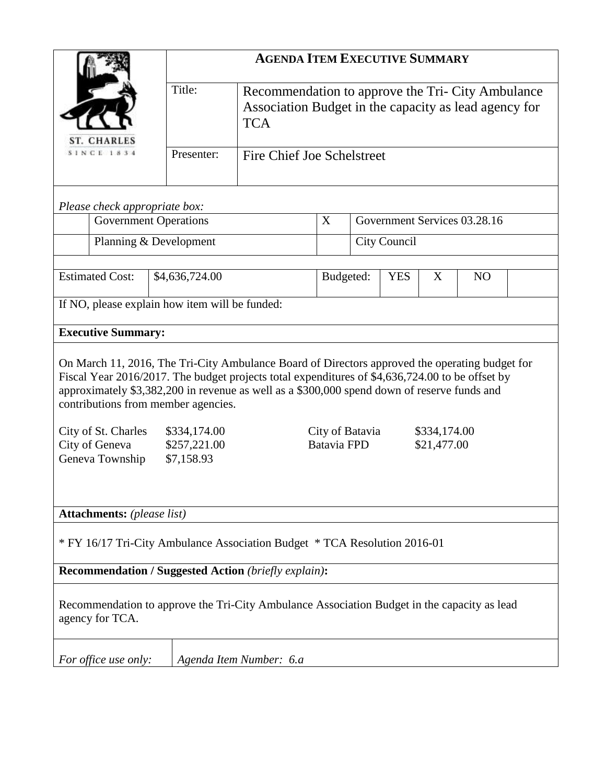|                                                                                                                                                                                                                                                                                                                                         | <b>AGENDA ITEM EXECUTIVE SUMMARY</b>       |                                                                                                                          |                              |                              |  |                |  |  |
|-----------------------------------------------------------------------------------------------------------------------------------------------------------------------------------------------------------------------------------------------------------------------------------------------------------------------------------------|--------------------------------------------|--------------------------------------------------------------------------------------------------------------------------|------------------------------|------------------------------|--|----------------|--|--|
| <b>ST. CHARLES</b>                                                                                                                                                                                                                                                                                                                      | Title:                                     | Recommendation to approve the Tri- City Ambulance<br>Association Budget in the capacity as lead agency for<br><b>TCA</b> |                              |                              |  |                |  |  |
| <b>SINCE 1834</b>                                                                                                                                                                                                                                                                                                                       | Presenter:                                 | <b>Fire Chief Joe Schelstreet</b>                                                                                        |                              |                              |  |                |  |  |
| Please check appropriate box:                                                                                                                                                                                                                                                                                                           |                                            |                                                                                                                          |                              |                              |  |                |  |  |
| <b>Government Operations</b>                                                                                                                                                                                                                                                                                                            |                                            |                                                                                                                          | X                            | Government Services 03.28.16 |  |                |  |  |
| Planning & Development                                                                                                                                                                                                                                                                                                                  |                                            | City Council                                                                                                             |                              |                              |  |                |  |  |
| <b>Estimated Cost:</b>                                                                                                                                                                                                                                                                                                                  | \$4,636,724.00                             |                                                                                                                          | <b>YES</b><br>Budgeted:<br>X |                              |  | N <sub>O</sub> |  |  |
| If NO, please explain how item will be funded:                                                                                                                                                                                                                                                                                          |                                            |                                                                                                                          |                              |                              |  |                |  |  |
| <b>Executive Summary:</b>                                                                                                                                                                                                                                                                                                               |                                            |                                                                                                                          |                              |                              |  |                |  |  |
| On March 11, 2016, The Tri-City Ambulance Board of Directors approved the operating budget for<br>Fiscal Year 2016/2017. The budget projects total expenditures of \$4,636,724.00 to be offset by<br>approximately \$3,382,200 in revenue as well as a \$300,000 spend down of reserve funds and<br>contributions from member agencies. |                                            |                                                                                                                          |                              |                              |  |                |  |  |
| City of St. Charles<br>City of Geneva<br>Geneva Township                                                                                                                                                                                                                                                                                | \$334,174.00<br>\$257,221.00<br>\$7,158.93 | City of Batavia<br>\$334,174.00<br>Batavia FPD<br>\$21,477.00                                                            |                              |                              |  |                |  |  |
| <b>Attachments:</b> (please list)                                                                                                                                                                                                                                                                                                       |                                            |                                                                                                                          |                              |                              |  |                |  |  |
| * FY 16/17 Tri-City Ambulance Association Budget * TCA Resolution 2016-01                                                                                                                                                                                                                                                               |                                            |                                                                                                                          |                              |                              |  |                |  |  |
| Recommendation / Suggested Action (briefly explain):                                                                                                                                                                                                                                                                                    |                                            |                                                                                                                          |                              |                              |  |                |  |  |
| Recommendation to approve the Tri-City Ambulance Association Budget in the capacity as lead<br>agency for TCA.                                                                                                                                                                                                                          |                                            |                                                                                                                          |                              |                              |  |                |  |  |
| For office use only:                                                                                                                                                                                                                                                                                                                    |                                            | Agenda Item Number: 6.a                                                                                                  |                              |                              |  |                |  |  |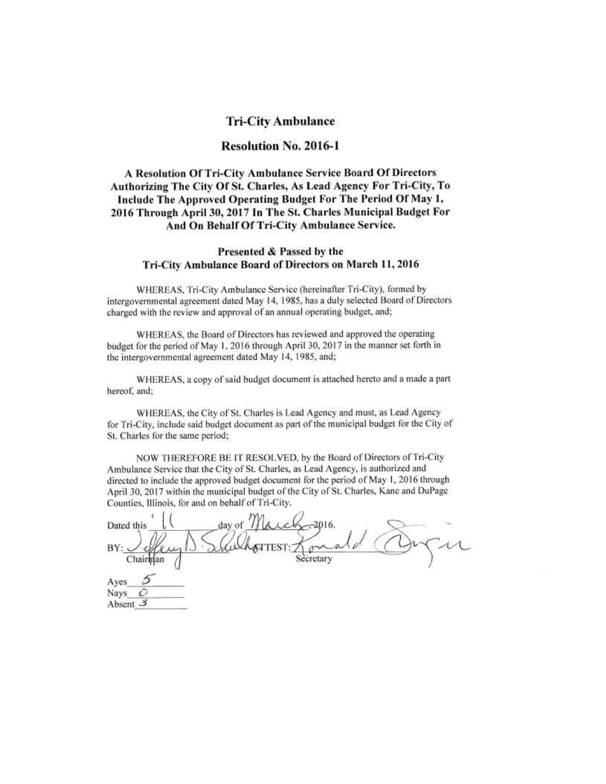### **Tri-City Ambulance**

### **Resolution No. 2016-1**

### A Resolution Of Tri-City Ambulance Service Board Of Directors Authorizing The City Of St. Charles, As Lead Agency For Tri-City, To Include The Approved Operating Budget For The Period Of May 1, 2016 Through April 30, 2017 In The St. Charles Municipal Budget For And On Behalf Of Tri-City Ambulance Service.

#### Presented & Passed by the Tri-City Ambulance Board of Directors on March 11, 2016

WHEREAS, Tri-City Ambulance Service (hereinafter Tri-City), formed by intergovernmental agreement dated May 14, 1985, has a duly selected Board of Directors charged with the review and approval of an annual operating budget, and;

WHEREAS, the Board of Directors has reviewed and approved the operating budget for the period of May 1, 2016 through April 30, 2017 in the manner set forth in the intergovernmental agreement dated May 14, 1985, and;

WHEREAS, a copy of said budget document is attached hereto and a made a part hereof, and;

WHEREAS, the City of St. Charles is Lead Agency and must, as Lead Agency for Tri-City, include said budget document as part of the municipal budget for the City of St. Charles for the same period;

NOW THEREFORE BE IT RESOLVED, by the Board of Directors of Tri-City Ambulance Service that the City of St. Charles, as Lead Agency, is authorized and directed to include the approved budget document for the period of May 1, 2016 through April 30, 2017 within the municipal budget of the City of St. Charles, Kane and DuPage Counties, Illinois, for and on behalf of Tri-City.

| $A$ ay of<br>Dated this   | $-2016.$         |
|---------------------------|------------------|
| $BY -$                    | <i>WAGTTEST:</i> |
| Chairman<br>$\Delta$ time | Secretary        |

Nays O Absent  $3$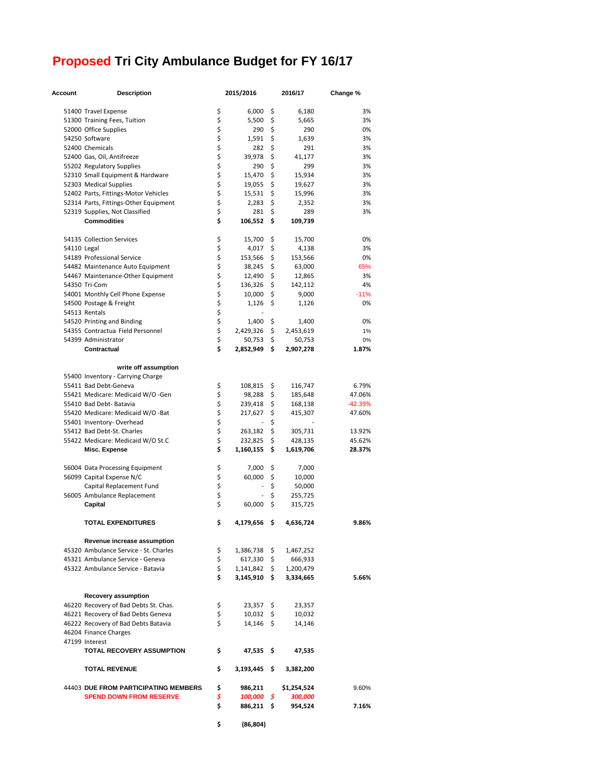# **Proposed Tri City Ambulance Budget for FY 16/17**

| Account     | <b>Description</b>                                 |          | 2015/2016        | 2016/17         | Change %  |
|-------------|----------------------------------------------------|----------|------------------|-----------------|-----------|
|             |                                                    |          |                  |                 |           |
|             | 51400 Travel Expense                               | \$       | 6,000            | \$<br>6,180     | 3%        |
|             | 51300 Training Fees, Tuition                       | \$       | 5,500            | \$<br>5,665     | 3%        |
|             | 52000 Office Supplies                              | \$       | 290              | \$<br>290       | 0%        |
|             | 54250 Software                                     | \$       | 1,591            | \$<br>1,639     | 3%        |
|             | 52400 Chemicals                                    | \$       | 282              | \$<br>291       | 3%        |
|             | 52400 Gas, Oil, Antifreeze                         | \$       | 39,978           | \$<br>41,177    | 3%        |
|             | 55202 Regulatory Supplies                          | \$       | 290              | \$<br>299       | 3%        |
|             | 52310 Small Equipment & Hardware                   | \$       | 15,470           | \$<br>15,934    | 3%        |
|             | 52303 Medical Supplies                             | \$       | 19,055           | \$<br>19,627    | 3%        |
|             | 52402 Parts, Fittings-Motor Vehicles               | \$       | 15,531           | \$<br>15,996    | 3%        |
|             | 52314 Parts, Fittings-Other Equipment              | \$       | 2,283            | \$<br>2,352     | 3%        |
|             | 52319 Supplies, Not Classified                     | \$       | 281              | \$<br>289       | 3%        |
|             | <b>Commodities</b>                                 | \$       | 106,552          | \$<br>109,739   |           |
|             | 54135 Collection Services                          | \$       |                  | \$              | 0%        |
|             |                                                    |          | 15,700           | 15,700          |           |
| 54110 Legal |                                                    | \$<br>\$ | 4,017            | \$<br>4,138     | 3%        |
|             | 54189 Professional Service                         |          | 153,566          | \$<br>153,566   | 0%        |
|             | 54482 Maintenance Auto Equipment                   | \$       | 38,245           | \$<br>63,000    | 65%       |
|             | 54467 Maintenance-Other Equipment                  | \$       | 12,490           | \$<br>12,865    | 3%        |
|             | 54350 Tri-Com                                      | \$       | 136,326          | \$<br>142,112   | 4%        |
|             | 54001 Monthly Cell Phone Expense                   | \$       | 10,000           | \$<br>9,000     | $-11%$    |
|             | 54500 Postage & Freight                            | \$       | 1,126            | \$<br>1,126     | 0%        |
|             | 54513 Rentals                                      | \$       |                  |                 |           |
|             | 54520 Printing and Binding                         | \$       | 1,400            | \$<br>1,400     | 0%        |
|             | 54355 Contractua Field Personnel                   | \$       | 2,429,326        | \$<br>2,453,619 | 1%        |
|             | 54399 Administrator                                | \$       | 50,753           | \$<br>50,753    | 0%        |
|             | Contractual                                        | \$       | 2,852,949        | \$<br>2,907,278 | 1.87%     |
|             | write off assumption                               |          |                  |                 |           |
|             | 55400 Inventory - Carrying Charge                  |          |                  |                 |           |
|             | 55411 Bad Debt-Geneva                              | \$       | 108,815          | \$<br>116,747   | 6.79%     |
|             | 55421 Medicare: Medicaid W/O -Gen                  | \$       | 98,288           | \$<br>185,648   | 47.06%    |
|             | 55410 Bad Debt- Batavia                            | \$       | 239,418          | \$<br>168,138   | $-42.39%$ |
|             | 55420 Medicare: Medicaid W/O -Bat                  | \$       | 217,627          | \$<br>415,307   | 47.60%    |
|             |                                                    | \$       | ÷                | \$              |           |
|             | 55401 Inventory-Overhead                           | \$       |                  |                 |           |
|             | 55412 Bad Debt-St. Charles                         | \$       | 263,182          | \$<br>305,731   | 13.92%    |
|             | 55422 Medicare: Medicaid W/O St.C                  | \$       | 232,825          | \$<br>428,135   | 45.62%    |
|             | Misc. Expense                                      |          | 1,160,155        | \$<br>1,619,706 | 28.37%    |
|             | 56004 Data Processing Equipment                    | \$       | 7,000            | \$<br>7,000     |           |
|             | 56099 Capital Expense N/C                          | \$       | 60,000           | \$<br>10,000    |           |
|             | Capital Replacement Fund                           | \$       |                  | \$<br>50,000    |           |
|             | 56005 Ambulance Replacement                        | \$       |                  | \$<br>255,725   |           |
|             | Capital                                            | \$       | 60,000           | \$<br>315,725   |           |
|             | <b>TOTAL EXPENDITURES</b>                          | \$       | 4,179,656        | \$<br>4,636,724 | 9.86%     |
|             |                                                    |          |                  |                 |           |
|             | Revenue increase assumption                        |          |                  |                 |           |
|             | 45320 Ambulance Service - St. Charles              | \$       | 1,386,738 \$     | 1,467,252       |           |
|             | 45321 Ambulance Service - Geneva                   | \$       | $617,330$ \$     | 666,933         |           |
|             | 45322 Ambulance Service - Batavia                  | \$       | 1,141,842 \$     | 1,200,479       |           |
|             |                                                    | \$.      | 3,145,910 \$     | 3,334,665       | 5.66%     |
|             | Recovery assumption                                |          |                  |                 |           |
|             | 46220 Recovery of Bad Debts St. Chas.              | \$       | $23,357$ \$      | 23,357          |           |
|             |                                                    | \$       |                  |                 |           |
|             | 46221 Recovery of Bad Debts Geneva                 | \$       | $10,032 \quad $$ | 10,032          |           |
|             | 46222 Recovery of Bad Debts Batavia                |          | $14,146$ \$      | 14,146          |           |
|             | 46204 Finance Charges                              |          |                  |                 |           |
|             | 47199 Interest<br><b>TOTAL RECOVERY ASSUMPTION</b> | \$       | 47,535\$         | 47,535          |           |
|             |                                                    |          |                  |                 |           |
|             | <b>TOTAL REVENUE</b>                               | \$       | 3,193,445 \$     | 3,382,200       |           |
|             | 44403 DUE FROM PARTICIPATING MEMBERS               | \$       | 986,211          | \$1,254,524     | 9.60%     |
|             | <b>SPEND DOWN FROM RESERVE</b>                     | \$       | 100,000 \$       | 300,000         |           |
|             |                                                    | \$       | 886,211\$        | 954,524         | 7.16%     |

**\$ (86,804)**